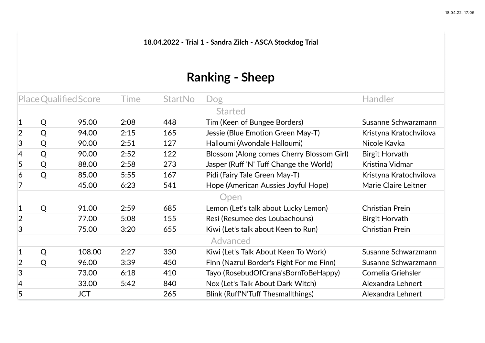**18.04.2022 - Trial 1 - Sandra Zilch - ASCA Stockdog Trial**

## **Ranking - Sheep**

| Place Qualified Score |   | <b>Time</b> | <b>StartNo</b> | Dog | <b>Handler</b>                            |                        |  |  |  |  |
|-----------------------|---|-------------|----------------|-----|-------------------------------------------|------------------------|--|--|--|--|
| <b>Started</b>        |   |             |                |     |                                           |                        |  |  |  |  |
| 1                     | Q | 95.00       | 2:08           | 448 | Tim (Keen of Bungee Borders)              | Susanne Schwarzmann    |  |  |  |  |
| $\overline{2}$        | Q | 94.00       | 2:15           | 165 | Jessie (Blue Emotion Green May-T)         | Kristyna Kratochvilova |  |  |  |  |
| 3                     | Q | 90.00       | 2:51           | 127 | Halloumi (Avondale Halloumi)              | Nicole Kavka           |  |  |  |  |
| 4                     | Q | 90.00       | 2:52           | 122 | Blossom (Along comes Cherry Blossom Girl) | <b>Birgit Horvath</b>  |  |  |  |  |
| 5                     | Q | 88.00       | 2:58           | 273 | Jasper (Ruff 'N' Tuff Change the World)   | Kristina Vidmar        |  |  |  |  |
| 6                     | Q | 85.00       | 5:55           | 167 | Pidi (Fairy Tale Green May-T)             | Kristyna Kratochvilova |  |  |  |  |
|                       |   | 45.00       | 6:23           | 541 | Hope (American Aussies Joyful Hope)       | Marie Claire Leitner   |  |  |  |  |
|                       |   |             |                |     | Open                                      |                        |  |  |  |  |
| 1                     | Q | 91.00       | 2:59           | 685 | Lemon (Let's talk about Lucky Lemon)      | Christian Prein        |  |  |  |  |
| $\overline{2}$        |   | 77.00       | 5:08           | 155 | Resi (Resumee des Loubachouns)            | Birgit Horvath         |  |  |  |  |
| 3                     |   | 75.00       | 3:20           | 655 | Kiwi (Let's talk about Keen to Run)       | Christian Prein        |  |  |  |  |
|                       |   |             |                |     | Advanced                                  |                        |  |  |  |  |
| 1                     | Q | 108.00      | 2:27           | 330 | Kiwi (Let's Talk About Keen To Work)      | Susanne Schwarzmann    |  |  |  |  |
| 2                     | Q | 96.00       | 3:39           | 450 | Finn (Nazrul Border's Fight For me Finn)  | Susanne Schwarzmann    |  |  |  |  |
| 3                     |   | 73.00       | 6:18           | 410 | Tayo (RosebudOfCrana'sBornToBeHappy)      | Cornelia Griehsler     |  |  |  |  |
| 4                     |   | 33.00       | 5:42           | 840 | Nox (Let's Talk About Dark Witch)         | Alexandra Lehnert      |  |  |  |  |
| 5                     |   | JCT         |                | 265 | Blink (Ruff'N'Tuff Thesmallthings)        | Alexandra Lehnert      |  |  |  |  |